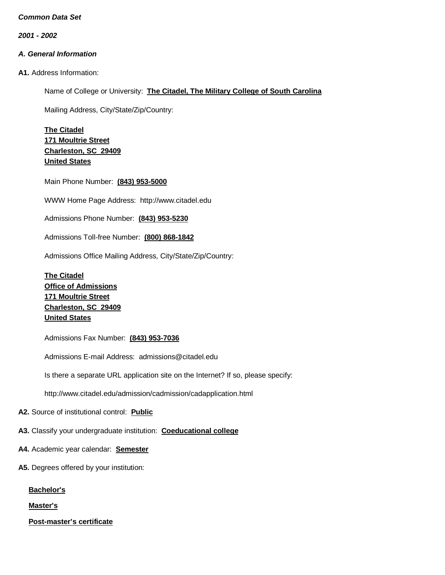*2001 - 2002*

# *A. General Information*

**A1.** Address Information:

Name of College or University: **The Citadel, The Military College of South Carolina**

Mailing Address, City/State/Zip/Country:

**The Citadel 171 Moultrie Street Charleston, SC 29409 United States**

Main Phone Number: **(843) 953-5000**

WWW Home Page Address: [http://www.citadel.edu](http://www.citadel.edu/)

Admissions Phone Number: **(843) 953-5230**

Admissions Toll-free Number: **(800) 868-1842**

Admissions Office Mailing Address, City/State/Zip/Country:

**The Citadel Office of Admissions 171 Moultrie Street Charleston, SC 29409 United States**

Admissions Fax Number: **(843) 953-7036**

Admissions E-mail Address: [admissions@citadel.edu](mailto:admissions@citadel.edu)

Is there a separate URL application site on the Internet? If so, please specify:

<http://www.citadel.edu/admission/cadmission/cadapplication.html>

**A2.** Source of institutional control: **Public**

**A3.** Classify your undergraduate institution: **Coeducational college**

- **A4.** Academic year calendar: **Semester**
- **A5.** Degrees offered by your institution:

**Bachelor's**

**Master's**

**Post-master's certificate**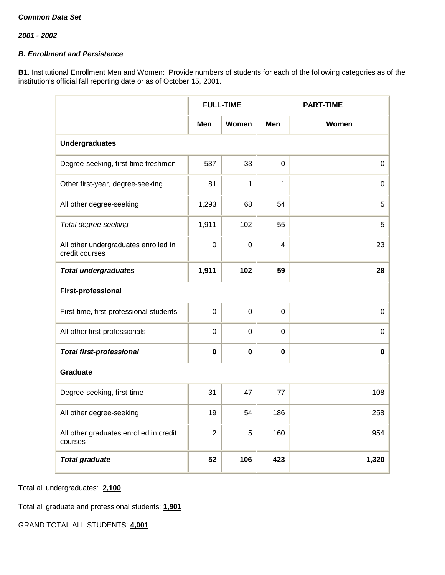# *B. Enrollment and Persistence*

**B1.** Institutional Enrollment Men and Women: Provide numbers of students for each of the following categories as of the institution's official fall reporting date or as of October 15, 2001.

|                                                        | <b>FULL-TIME</b> |             |             | <b>PART-TIME</b> |  |  |  |  |
|--------------------------------------------------------|------------------|-------------|-------------|------------------|--|--|--|--|
|                                                        | Men              | Women       | <b>Men</b>  | Women            |  |  |  |  |
| <b>Undergraduates</b>                                  |                  |             |             |                  |  |  |  |  |
| Degree-seeking, first-time freshmen                    | 537              | 33          | $\mathbf 0$ | $\mathbf 0$      |  |  |  |  |
| Other first-year, degree-seeking                       | 81               | 1           | 1           | 0                |  |  |  |  |
| All other degree-seeking                               | 1,293            | 68          | 54          | $\mathbf 5$      |  |  |  |  |
| Total degree-seeking                                   | 1,911            | 102         | 55          | 5                |  |  |  |  |
| All other undergraduates enrolled in<br>credit courses | $\overline{0}$   | $\Omega$    | 4           | 23               |  |  |  |  |
| <b>Total undergraduates</b>                            | 1,911            | 102         | 59          | 28               |  |  |  |  |
| <b>First-professional</b>                              |                  |             |             |                  |  |  |  |  |
| First-time, first-professional students                | $\mathbf 0$      | $\mathbf 0$ | $\mathbf 0$ | $\pmb{0}$        |  |  |  |  |
| All other first-professionals                          | $\mathbf 0$      | $\mathbf 0$ | $\mathbf 0$ | 0                |  |  |  |  |
| <b>Total first-professional</b>                        | $\bf{0}$         | $\mathbf 0$ | $\mathbf 0$ | $\mathbf 0$      |  |  |  |  |
| <b>Graduate</b>                                        |                  |             |             |                  |  |  |  |  |
| Degree-seeking, first-time                             | 31               | 47          | 77          | 108              |  |  |  |  |
| All other degree-seeking                               | 19               | 54          | 186         | 258              |  |  |  |  |
| All other graduates enrolled in credit<br>courses      | $\overline{2}$   | 5           | 160         | 954              |  |  |  |  |
| <b>Total graduate</b>                                  | 52               | 106         | 423         | 1,320            |  |  |  |  |

Total all undergraduates: **2,100**

Total all graduate and professional students: **1,901**

GRAND TOTAL ALL STUDENTS: **4,001**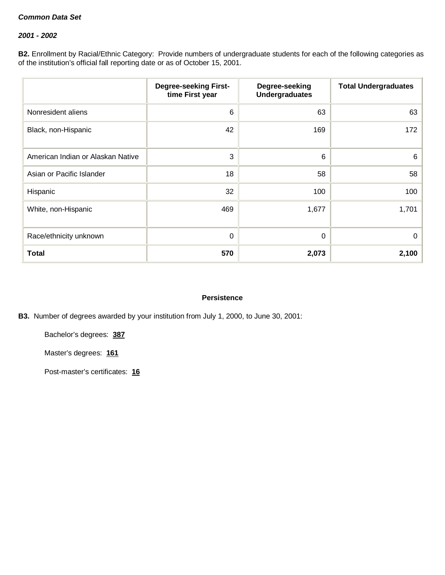## *2001 - 2002*

**B2.** Enrollment by Racial/Ethnic Category: Provide numbers of undergraduate students for each of the following categories as of the institution's official fall reporting date or as of October 15, 2001.

|                                   | <b>Degree-seeking First-</b><br>time First year | Degree-seeking<br><b>Undergraduates</b> | <b>Total Undergraduates</b> |
|-----------------------------------|-------------------------------------------------|-----------------------------------------|-----------------------------|
| Nonresident aliens                | 6                                               | 63                                      | 63                          |
| Black, non-Hispanic               | 42                                              | 169                                     | 172                         |
| American Indian or Alaskan Native | 3                                               | 6                                       | 6                           |
| Asian or Pacific Islander         | 18                                              | 58                                      | 58                          |
| Hispanic                          | 32                                              | 100                                     | 100                         |
| White, non-Hispanic               | 469                                             | 1,677                                   | 1,701                       |
| Race/ethnicity unknown            | 0                                               | 0                                       | 0                           |
| <b>Total</b>                      | 570                                             | 2,073                                   | 2,100                       |

#### **Persistence**

# **B3.** Number of degrees awarded by your institution from July 1, 2000, to June 30, 2001:

Bachelor's degrees: **387**

Master's degrees: **161**

Post-master's certificates: **16**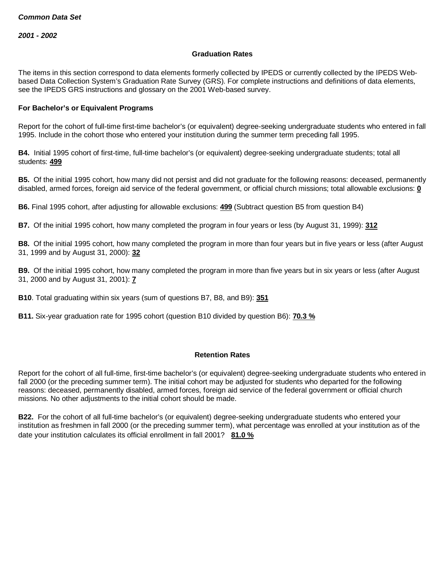#### **Graduation Rates**

The items in this section correspond to data elements formerly collected by IPEDS or currently collected by the IPEDS Webbased Data Collection System's Graduation Rate Survey (GRS). For complete instructions and definitions of data elements, see the IPEDS GRS instructions and glossary on the 2001 Web-based survey.

#### **For Bachelor's or Equivalent Programs**

Report for the cohort of full-time first-time bachelor's (or equivalent) degree-seeking undergraduate students who entered in fall 1995. Include in the cohort those who entered your institution during the summer term preceding fall 1995.

**B4.** Initial 1995 cohort of first-time, full-time bachelor's (or equivalent) degree-seeking undergraduate students; total all students: **499**

**B5.** Of the initial 1995 cohort, how many did not persist and did not graduate for the following reasons: deceased, permanently disabled, armed forces, foreign aid service of the federal government, or official church missions; total allowable exclusions: **0**

**B6.** Final 1995 cohort, after adjusting for allowable exclusions: **499** (Subtract question B5 from question B4)

**B7.** Of the initial 1995 cohort, how many completed the program in four years or less (by August 31, 1999): **312**

**B8.** Of the initial 1995 cohort, how many completed the program in more than four years but in five years or less (after August 31, 1999 and by August 31, 2000): **32**

**B9.** Of the initial 1995 cohort, how many completed the program in more than five years but in six years or less (after August 31, 2000 and by August 31, 2001): **7**

**B10**. Total graduating within six years (sum of questions B7, B8, and B9): **351**

**B11.** Six-year graduation rate for 1995 cohort (question B10 divided by question B6): **70.3 %**

#### **Retention Rates**

Report for the cohort of all full-time, first-time bachelor's (or equivalent) degree-seeking undergraduate students who entered in fall 2000 (or the preceding summer term). The initial cohort may be adjusted for students who departed for the following reasons: deceased, permanently disabled, armed forces, foreign aid service of the federal government or official church missions. No other adjustments to the initial cohort should be made.

**B22.** For the cohort of all full-time bachelor's (or equivalent) degree-seeking undergraduate students who entered your institution as freshmen in fall 2000 (or the preceding summer term), what percentage was enrolled at your institution as of the date your institution calculates its official enrollment in fall 2001? **81.0 %**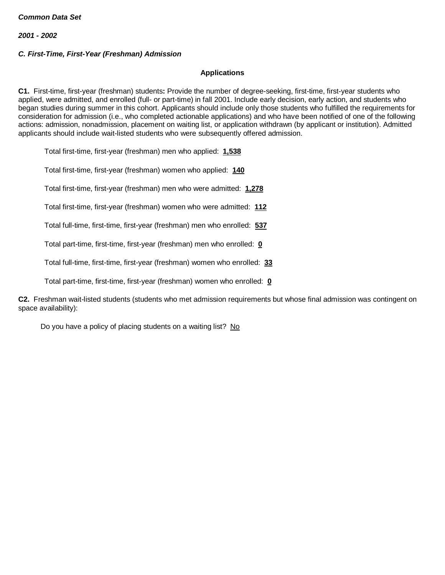# *C. First-Time, First-Year (Freshman) Admission*

# **Applications**

**C1.** First-time, first-year (freshman) students**:** Provide the number of degree-seeking, first-time, first-year students who applied, were admitted, and enrolled (full- or part-time) in fall 2001. Include early decision, early action, and students who began studies during summer in this cohort. Applicants should include only those students who fulfilled the requirements for consideration for admission (i.e., who completed actionable applications) and who have been notified of one of the following actions: admission, nonadmission, placement on waiting list, or application withdrawn (by applicant or institution). Admitted applicants should include wait-listed students who were subsequently offered admission.

Total first-time, first-year (freshman) men who applied: **1,538**

Total first-time, first-year (freshman) women who applied: **140**

Total first-time, first-year (freshman) men who were admitted: **1,278**

Total first-time, first-year (freshman) women who were admitted: **112**

Total full-time, first-time, first-year (freshman) men who enrolled: **537**

Total part-time, first-time, first-year (freshman) men who enrolled: **0**

Total full-time, first-time, first-year (freshman) women who enrolled: **33**

Total part-time, first-time, first-year (freshman) women who enrolled: **0**

**C2.** Freshman wait-listed students (students who met admission requirements but whose final admission was contingent on space availability):

Do you have a policy of placing students on a waiting list? No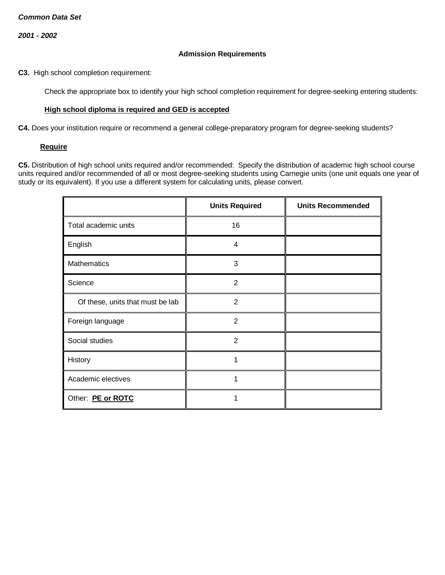#### **Admission Requirements**

**C3.** High school completion requirement:

Check the appropriate box to identify your high school completion requirement for degree-seeking entering students:

### **High school diploma is required and GED is accepted**

**C4.** Does your institution require or recommend a general college-preparatory program for degree-seeking students?

#### **Require**

**C5.** Distribution of high school units required and/or recommended: Specify the distribution of academic high school course units required and/or recommended of all or most degree-seeking students using Carnegie units (one unit equals one year of study or its equivalent). If you use a different system for calculating units, please convert.

|                                  | <b>Units Required</b> | <b>Units Recommended</b> |
|----------------------------------|-----------------------|--------------------------|
| Total academic units             | 16                    |                          |
| English                          | $\overline{4}$        |                          |
| Mathematics                      | 3                     |                          |
| Science                          | $\overline{2}$        |                          |
| Of these, units that must be lab | $\overline{2}$        |                          |
| Foreign language                 | $\overline{2}$        |                          |
| Social studies                   | $\overline{2}$        |                          |
| History                          | 1                     |                          |
| Academic electives               | 1                     |                          |
| Other: PE or ROTC                |                       |                          |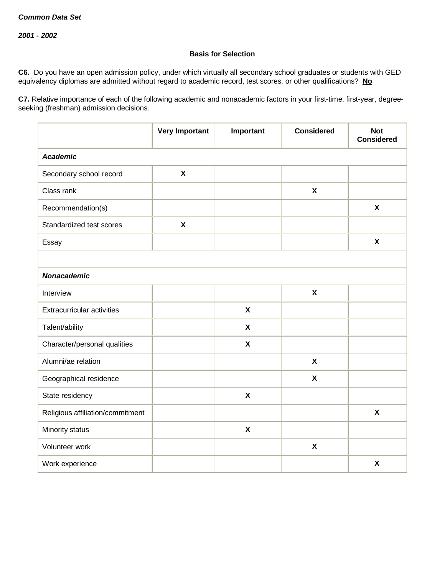## **Basis for Selection**

**C6.** Do you have an open admission policy, under which virtually all secondary school graduates or students with GED equivalency diplomas are admitted without regard to academic record, test scores, or other qualifications? **No**

**C7.** Relative importance of each of the following academic and nonacademic factors in your first-time, first-year, degreeseeking (freshman) admission decisions.

|                                   | <b>Very Important</b>     | Important                 | <b>Considered</b>         | <b>Not</b><br><b>Considered</b> |  |  |  |  |
|-----------------------------------|---------------------------|---------------------------|---------------------------|---------------------------------|--|--|--|--|
| <b>Academic</b>                   |                           |                           |                           |                                 |  |  |  |  |
| Secondary school record           | $\boldsymbol{\mathsf{X}}$ |                           |                           |                                 |  |  |  |  |
| Class rank                        |                           |                           | $\boldsymbol{\mathsf{X}}$ |                                 |  |  |  |  |
| Recommendation(s)                 |                           |                           |                           | $\boldsymbol{\mathsf{x}}$       |  |  |  |  |
| Standardized test scores          | $\boldsymbol{\mathsf{X}}$ |                           |                           |                                 |  |  |  |  |
| Essay                             |                           |                           |                           | $\boldsymbol{\mathsf{X}}$       |  |  |  |  |
|                                   |                           |                           |                           |                                 |  |  |  |  |
| <b>Nonacademic</b>                |                           |                           |                           |                                 |  |  |  |  |
| Interview                         |                           |                           | $\boldsymbol{\mathsf{X}}$ |                                 |  |  |  |  |
| <b>Extracurricular activities</b> |                           | $\boldsymbol{\mathsf{x}}$ |                           |                                 |  |  |  |  |
| Talent/ability                    |                           | $\boldsymbol{\mathsf{X}}$ |                           |                                 |  |  |  |  |
| Character/personal qualities      |                           | $\pmb{\chi}$              |                           |                                 |  |  |  |  |
| Alumni/ae relation                |                           |                           | $\boldsymbol{\mathsf{X}}$ |                                 |  |  |  |  |
| Geographical residence            |                           |                           | X                         |                                 |  |  |  |  |
| State residency                   |                           | $\boldsymbol{\mathsf{X}}$ |                           |                                 |  |  |  |  |
| Religious affiliation/commitment  |                           |                           |                           | $\boldsymbol{\mathsf{x}}$       |  |  |  |  |
| Minority status                   |                           | $\boldsymbol{\mathsf{X}}$ |                           |                                 |  |  |  |  |
| Volunteer work                    |                           |                           | $\boldsymbol{\mathsf{X}}$ |                                 |  |  |  |  |
| Work experience                   |                           |                           |                           | $\boldsymbol{\mathsf{X}}$       |  |  |  |  |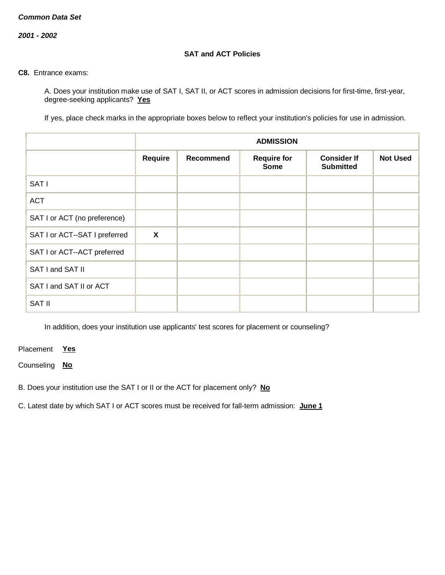*2001 - 2002*

## **SAT and ACT Policies**

#### **C8.** Entrance exams:

A. Does your institution make use of SAT I, SAT II, or ACT scores in admission decisions for first-time, first-year, degree-seeking applicants? **Yes**

If yes, place check marks in the appropriate boxes below to reflect your institution's policies for use in admission.

|                               | <b>ADMISSION</b>          |                  |                                   |                                        |                 |  |
|-------------------------------|---------------------------|------------------|-----------------------------------|----------------------------------------|-----------------|--|
|                               | Require                   | <b>Recommend</b> | <b>Require for</b><br><b>Some</b> | <b>Consider If</b><br><b>Submitted</b> | <b>Not Used</b> |  |
| SAT I                         |                           |                  |                                   |                                        |                 |  |
| <b>ACT</b>                    |                           |                  |                                   |                                        |                 |  |
| SAT I or ACT (no preference)  |                           |                  |                                   |                                        |                 |  |
| SAT I or ACT--SAT I preferred | $\boldsymbol{\mathsf{X}}$ |                  |                                   |                                        |                 |  |
| SAT I or ACT--ACT preferred   |                           |                  |                                   |                                        |                 |  |
| SAT I and SAT II              |                           |                  |                                   |                                        |                 |  |
| SAT I and SAT II or ACT       |                           |                  |                                   |                                        |                 |  |
| <b>SAT II</b>                 |                           |                  |                                   |                                        |                 |  |

In addition, does your institution use applicants' test scores for placement or counseling?

Placement **Yes**

Counseling **No**

B. Does your institution use the SAT I or II or the ACT for placement only? **No**

C. Latest date by which SAT I or ACT scores must be received for fall-term admission: **June 1**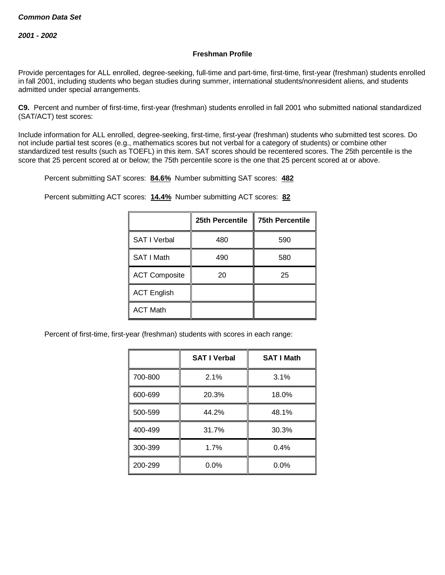## **Freshman Profile**

Provide percentages for ALL enrolled, degree-seeking, full-time and part-time, first-time, first-year (freshman) students enrolled in fall 2001, including students who began studies during summer, international students/nonresident aliens, and students admitted under special arrangements.

**C9.** Percent and number of first-time, first-year (freshman) students enrolled in fall 2001 who submitted national standardized (SAT/ACT) test scores:

Include information for ALL enrolled, degree-seeking, first-time, first-year (freshman) students who submitted test scores. Do not include partial test scores (e.g., mathematics scores but not verbal for a category of students) or combine other standardized test results (such as TOEFL) in this item. SAT scores should be recentered scores. The 25th percentile is the score that 25 percent scored at or below; the 75th percentile score is the one that 25 percent scored at or above.

Percent submitting SAT scores: **84.6%** Number submitting SAT scores: **482**

Percent submitting ACT scores: **14.4%** Number submitting ACT scores: **82**

|                      | 25th Percentile | <b>75th Percentile</b> |
|----------------------|-----------------|------------------------|
| <b>SAT I Verbal</b>  | 480             | 590                    |
| SAT I Math           | 490             | 580                    |
| <b>ACT Composite</b> | 20              | 25                     |
| <b>ACT English</b>   |                 |                        |
| <b>ACT Math</b>      |                 |                        |

Percent of first-time, first-year (freshman) students with scores in each range:

|         | <b>SAT I Verbal</b> | <b>SAT I Math</b> |
|---------|---------------------|-------------------|
| 700-800 | 2.1%                | 3.1%              |
| 600-699 | 20.3%               | 18.0%             |
| 500-599 | 44.2%               | 48.1%             |
| 400-499 | 31.7%               | 30.3%             |
| 300-399 | 1.7%                | 0.4%              |
| 200-299 | $0.0\%$             | 0.0%              |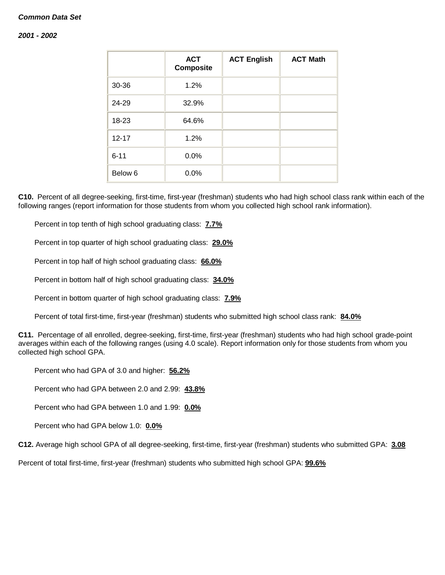#### *2001 - 2002*

|           | <b>ACT</b><br><b>Composite</b> | <b>ACT English</b> | <b>ACT Math</b> |
|-----------|--------------------------------|--------------------|-----------------|
| 30-36     | 1.2%                           |                    |                 |
| 24-29     | 32.9%                          |                    |                 |
| 18-23     | 64.6%                          |                    |                 |
| $12 - 17$ | 1.2%                           |                    |                 |
| $6 - 11$  | 0.0%                           |                    |                 |
| Below 6   | 0.0%                           |                    |                 |

**C10.** Percent of all degree-seeking, first-time, first-year (freshman) students who had high school class rank within each of the following ranges (report information for those students from whom you collected high school rank information).

Percent in top tenth of high school graduating class: **7.7%**

Percent in top quarter of high school graduating class: **29.0%**

Percent in top half of high school graduating class: **66.0%**

Percent in bottom half of high school graduating class: **34.0%**

Percent in bottom quarter of high school graduating class: **7.9%**

Percent of total first-time, first-year (freshman) students who submitted high school class rank: **84.0%**

**C11.** Percentage of all enrolled, degree-seeking, first-time, first-year (freshman) students who had high school grade-point averages within each of the following ranges (using 4.0 scale). Report information only for those students from whom you collected high school GPA.

Percent who had GPA of 3.0 and higher: **56.2%**

Percent who had GPA between 2.0 and 2.99: **43.8%**

Percent who had GPA between 1.0 and 1.99: **0.0%**

Percent who had GPA below 1.0: **0.0%**

**C12.** Average high school GPA of all degree-seeking, first-time, first-year (freshman) students who submitted GPA: **3.08**

Percent of total first-time, first-year (freshman) students who submitted high school GPA: **99.6%**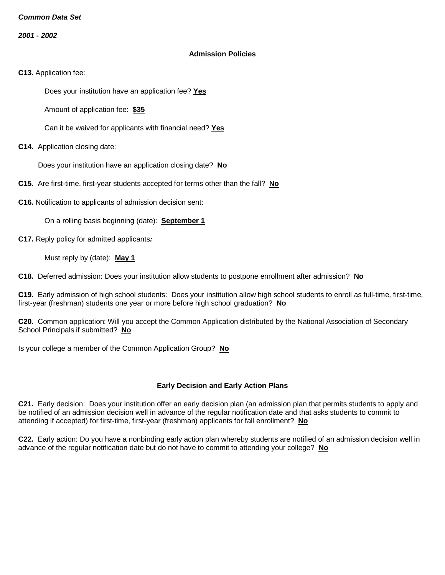*2001 - 2002*

#### **Admission Policies**

**C13.** Application fee:

Does your institution have an application fee? **Yes**

Amount of application fee: **\$35**

Can it be waived for applicants with financial need? **Yes**

**C14.** Application closing date:

Does your institution have an application closing date? **No**

**C15.** Are first-time, first-year students accepted for terms other than the fall? **No**

**C16.** Notification to applicants of admission decision sent:

On a rolling basis beginning (date): **September 1**

**C17.** Reply policy for admitted applicants*:*

Must reply by (date): **May 1**

**C18.** Deferred admission: Does your institution allow students to postpone enrollment after admission? **No**

**C19.** Early admission of high school students: Does your institution allow high school students to enroll as full-time, first-time, first-year (freshman) students one year or more before high school graduation? **No**

**C20.** Common application: Will you accept the Common Application distributed by the National Association of Secondary School Principals if submitted? **No**

Is your college a member of the Common Application Group? **No**

## **Early Decision and Early Action Plans**

**C21.** Early decision: Does your institution offer an early decision plan (an admission plan that permits students to apply and be notified of an admission decision well in advance of the regular notification date and that asks students to commit to attending if accepted) for first-time, first-year (freshman) applicants for fall enrollment? **No**

**C22.** Early action: Do you have a nonbinding early action plan whereby students are notified of an admission decision well in advance of the regular notification date but do not have to commit to attending your college? **No**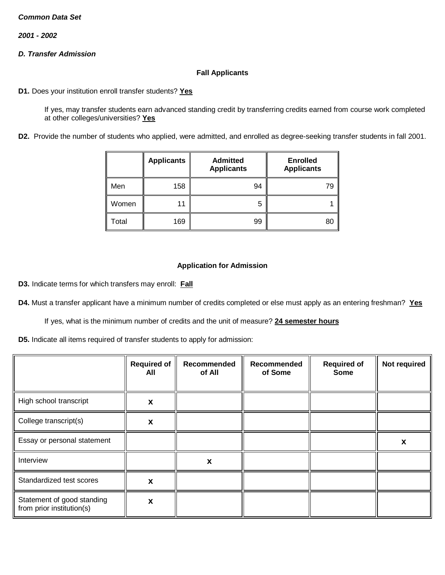*2001 - 2002*

# *D. Transfer Admission*

## **Fall Applicants**

**D1.** Does your institution enroll transfer students? **Yes**

If yes, may transfer students earn advanced standing credit by transferring credits earned from course work completed at other colleges/universities? **Yes**

**D2.** Provide the number of students who applied, were admitted, and enrolled as degree-seeking transfer students in fall 2001.

|       | <b>Applicants</b> | <b>Admitted</b><br><b>Applicants</b> | <b>Enrolled</b><br><b>Applicants</b> |
|-------|-------------------|--------------------------------------|--------------------------------------|
| Men   | 158               | 94                                   | 79                                   |
| Women | 11                | h                                    |                                      |
| Total | 169               | 99                                   | 80                                   |

## **Application for Admission**

**D3.** Indicate terms for which transfers may enroll: **Fall**

**D4.** Must a transfer applicant have a minimum number of credits completed or else must apply as an entering freshman? **Yes**

If yes, what is the minimum number of credits and the unit of measure? **24 semester hours**

**D5.** Indicate all items required of transfer students to apply for admission:

|                                                         | <b>Required of</b><br>All | Recommended<br>of All | Recommended<br>of Some | <b>Required of</b><br><b>Some</b> | Not required |
|---------------------------------------------------------|---------------------------|-----------------------|------------------------|-----------------------------------|--------------|
| High school transcript                                  | X                         |                       |                        |                                   |              |
| College transcript(s)                                   | X                         |                       |                        |                                   |              |
| Essay or personal statement                             |                           |                       |                        |                                   | X            |
| Interview                                               |                           | X                     |                        |                                   |              |
| Standardized test scores                                | X                         |                       |                        |                                   |              |
| Statement of good standing<br>from prior institution(s) | X                         |                       |                        |                                   |              |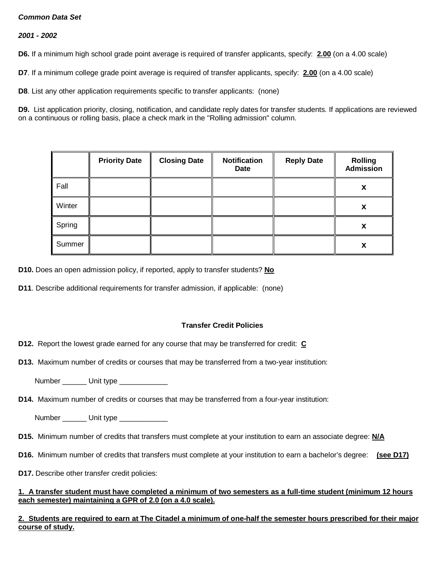*2001 - 2002*

**D6.** If a minimum high school grade point average is required of transfer applicants, specify: **2.00** (on a 4.00 scale)

**D7**. If a minimum college grade point average is required of transfer applicants, specify: **2.00** (on a 4.00 scale)

**D8**. List any other application requirements specific to transfer applicants: (none)

**D9.** List application priority, closing, notification, and candidate reply dates for transfer students. If applications are reviewed on a continuous or rolling basis, place a check mark in the "Rolling admission" column.

|        | <b>Priority Date</b> | <b>Closing Date</b> | <b>Notification</b><br>Date | <b>Reply Date</b> | <b>Rolling</b><br><b>Admission</b> |
|--------|----------------------|---------------------|-----------------------------|-------------------|------------------------------------|
| Fall   |                      |                     |                             |                   | X                                  |
| Winter |                      |                     |                             |                   | X                                  |
| Spring |                      |                     |                             |                   | X                                  |
| Summer |                      |                     |                             |                   | X                                  |

**D10.** Does an open admission policy, if reported, apply to transfer students? **No**

**D11**. Describe additional requirements for transfer admission, if applicable: (none)

## **Transfer Credit Policies**

**D12.** Report the lowest grade earned for any course that may be transferred for credit: **C**

**D13.** Maximum number of credits or courses that may be transferred from a two-year institution:

Number \_\_\_\_\_\_ Unit type \_\_\_\_\_\_\_\_\_\_

**D14.** Maximum number of credits or courses that may be transferred from a four-year institution:

Number \_\_\_\_\_\_\_\_ Unit type \_\_\_\_\_\_\_\_\_\_\_\_\_\_

- **D15.** Minimum number of credits that transfers must complete at your institution to earn an associate degree: **N/A**
- **D16.** Minimum number of credits that transfers must complete at your institution to earn a bachelor's degree: **(see D17)**
- **D17.** Describe other transfer credit policies:

#### **1. A transfer student must have completed a minimum of two semesters as a full-time student (minimum 12 hours each semester) maintaining a GPR of 2.0 (on a 4.0 scale).**

# **2. Students are required to earn at The Citadel a minimum of one-half the semester hours prescribed for their major course of study.**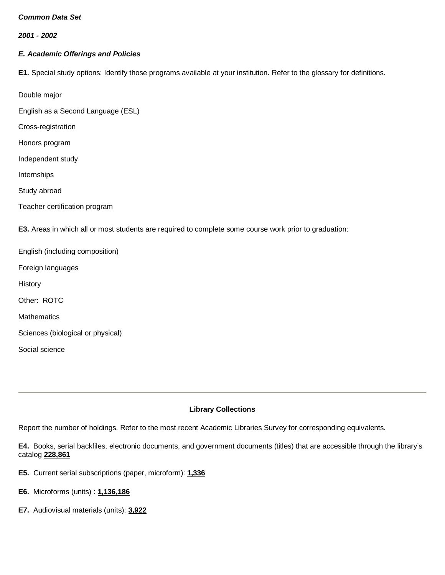*2001 - 2002*

## *E. Academic Offerings and Policies*

**E1.** Special study options: Identify those programs available at your institution. Refer to the glossary for definitions.

Double major

English as a Second Language (ESL)

Cross-registration

Honors program

Independent study

Internships

Study abroad

Social science

Teacher certification program

**E3.** Areas in which all or most students are required to complete some course work prior to graduation:

English (including composition) Foreign languages **History** Other: ROTC **Mathematics** Sciences (biological or physical)

**Library Collections**

Report the number of holdings. Refer to the most recent Academic Libraries Survey for corresponding equivalents.

**E4.** Books, serial backfiles, electronic documents, and government documents (titles) that are accessible through the library's catalog **228,861**

- **E5.** Current serial subscriptions (paper, microform): **1,336**
- **E6.** Microforms (units) : **1,136,186**
- **E7.** Audiovisual materials (units): **3,922**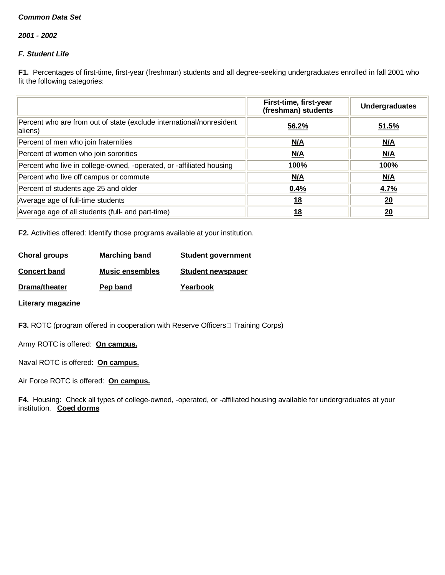*2001 - 2002*

# *F. Student Life*

**F1.** Percentages of first-time, first-year (freshman) students and all degree-seeking undergraduates enrolled in fall 2001 who fit the following categories:

|                                                                                 | First-time, first-year<br>(freshman) students | <b>Undergraduates</b> |
|---------------------------------------------------------------------------------|-----------------------------------------------|-----------------------|
| Percent who are from out of state (exclude international/nonresident<br>aliens) | 56.2%                                         | 51.5%                 |
| Percent of men who join fraternities                                            | N/A                                           | M/A                   |
| Percent of women who join sororities                                            | N/A                                           | N/A                   |
| Percent who live in college-owned, -operated, or -affiliated housing            | <u>100%</u>                                   | <u>100%</u>           |
| Percent who live off campus or commute                                          | M/A                                           | M/A                   |
| Percent of students age 25 and older                                            | $0.4\%$                                       | 4.7%                  |
| Average age of full-time students                                               | <u>18</u>                                     | 20                    |
| Average age of all students (full- and part-time)                               | 18                                            | 20                    |

**F2.** Activities offered: Identify those programs available at your institution.

| Choral groups       | Marching band          | <b>Student government</b> |
|---------------------|------------------------|---------------------------|
| <b>Concert band</b> | <b>Music ensembles</b> | <b>Student newspaper</b>  |
| Drama/theater       | Pep band               | Yearbook                  |

**Literary magazine**

**F3.** ROTC (program offered in cooperation with Reserve Officers Training Corps)

Army ROTC is offered: **On campus.**

Naval ROTC is offered: **On campus.**

Air Force ROTC is offered: **On campus.**

**F4.** Housing: Check all types of college-owned, -operated, or -affiliated housing available for undergraduates at your institution. **Coed dorms**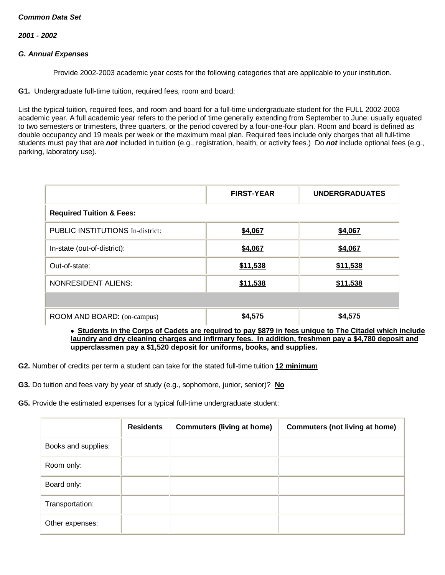*2001 - 2002*

### *G. Annual Expenses*

Provide 2002-2003 academic year costs for the following categories that are applicable to your institution.

**G1.** Undergraduate full-time tuition, required fees, room and board:

List the typical tuition, required fees, and room and board for a full-time undergraduate student for the FULL 2002-2003 academic year. A full academic year refers to the period of time generally extending from September to June; usually equated to two semesters or trimesters, three quarters, or the period covered by a four-one-four plan. Room and board is defined as double occupancy and 19 meals per week or the maximum meal plan. Required fees include only charges that all full-time students must pay that are *not* included in tuition (e.g., registration, health, or activity fees.) Do *not* include optional fees (e.g., parking, laboratory use).

|                                                                                                         | <b>FIRST-YEAR</b> | <b>UNDERGRADUATES</b> |  |  |  |  |  |  |
|---------------------------------------------------------------------------------------------------------|-------------------|-----------------------|--|--|--|--|--|--|
| <b>Required Tuition &amp; Fees:</b>                                                                     |                   |                       |  |  |  |  |  |  |
| PUBLIC INSTITUTIONS In-district:                                                                        | \$4,067           | \$4,067               |  |  |  |  |  |  |
| In-state (out-of-district):                                                                             | \$4,067           | \$4,067               |  |  |  |  |  |  |
| Out-of-state:                                                                                           | \$11,538          | \$11,538              |  |  |  |  |  |  |
| <b>NONRESIDENT ALIENS:</b>                                                                              | \$11,538          | \$11,538              |  |  |  |  |  |  |
|                                                                                                         |                   |                       |  |  |  |  |  |  |
| ROOM AND BOARD: (on-campus)                                                                             | \$4,575           | \$4,575               |  |  |  |  |  |  |
| • Students in the Corps of Cadets are required to pay \$879 in fees unique to The Citadel which include |                   |                       |  |  |  |  |  |  |

**laundry and dry cleaning charges and infirmary fees. In addition, freshmen pay a \$4,780 deposit and upperclassmen pay a \$1,520 deposit for uniforms, books, and supplies.**

**G2.** Number of credits per term a student can take for the stated full-time tuition **12 minimum**

**G3.** Do tuition and fees vary by year of study (e.g., sophomore, junior, senior)? **No**

**G5.** Provide the estimated expenses for a typical full-time undergraduate student:

|                     | <b>Residents</b> | <b>Commuters (living at home)</b> | <b>Commuters (not living at home)</b> |
|---------------------|------------------|-----------------------------------|---------------------------------------|
| Books and supplies: |                  |                                   |                                       |
| Room only:          |                  |                                   |                                       |
| Board only:         |                  |                                   |                                       |
| Transportation:     |                  |                                   |                                       |
| Other expenses:     |                  |                                   |                                       |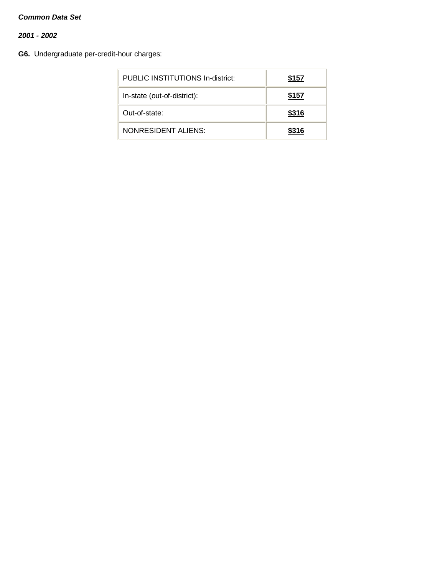*2001 - 2002*

**G6.** Undergraduate per-credit-hour charges:

| PUBLIC INSTITUTIONS In-district: | \$157 |
|----------------------------------|-------|
| In-state (out-of-district):      | \$157 |
| Out-of-state:                    | \$316 |
| NONRESIDENT ALIENS:              | \$316 |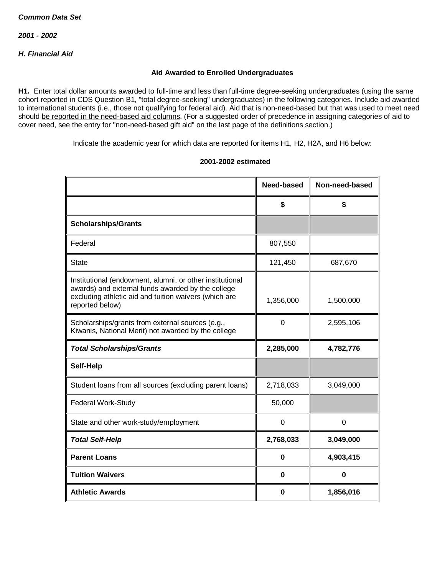# *H. Financial Aid*

### **Aid Awarded to Enrolled Undergraduates**

**H1.** Enter total dollar amounts awarded to full-time and less than full-time degree-seeking undergraduates (using the same cohort reported in CDS Question B1, "total degree-seeking" undergraduates) in the following categories. Include aid awarded to international students (i.e., those not qualifying for federal aid). Aid that is non-need-based but that was used to meet need should be reported in the need-based aid columns. (For a suggested order of precedence in assigning categories of aid to cover need, see the entry for "non-need-based gift aid" on the last page of the definitions section.)

Indicate the academic year for which data are reported for items H1, H2, H2A, and H6 below:

|                                                                                                                                                                                           | Need-based  | Non-need-based |
|-------------------------------------------------------------------------------------------------------------------------------------------------------------------------------------------|-------------|----------------|
|                                                                                                                                                                                           | \$          | \$             |
| <b>Scholarships/Grants</b>                                                                                                                                                                |             |                |
| Federal                                                                                                                                                                                   | 807,550     |                |
| <b>State</b>                                                                                                                                                                              | 121,450     | 687,670        |
| Institutional (endowment, alumni, or other institutional<br>awards) and external funds awarded by the college<br>excluding athletic aid and tuition waivers (which are<br>reported below) | 1,356,000   | 1,500,000      |
| Scholarships/grants from external sources (e.g.,<br>Kiwanis, National Merit) not awarded by the college                                                                                   | $\mathbf 0$ | 2,595,106      |
| <b>Total Scholarships/Grants</b>                                                                                                                                                          | 2,285,000   | 4,782,776      |
| Self-Help                                                                                                                                                                                 |             |                |
| Student loans from all sources (excluding parent loans)                                                                                                                                   | 2,718,033   | 3,049,000      |
| <b>Federal Work-Study</b>                                                                                                                                                                 | 50,000      |                |
| State and other work-study/employment                                                                                                                                                     | $\Omega$    | $\Omega$       |
| <b>Total Self-Help</b>                                                                                                                                                                    | 2,768,033   | 3,049,000      |
| <b>Parent Loans</b>                                                                                                                                                                       | 0           | 4,903,415      |
| <b>Tuition Waivers</b>                                                                                                                                                                    | 0           | $\bf{0}$       |
| <b>Athletic Awards</b>                                                                                                                                                                    | 0           | 1,856,016      |

#### **2001-2002 estimated**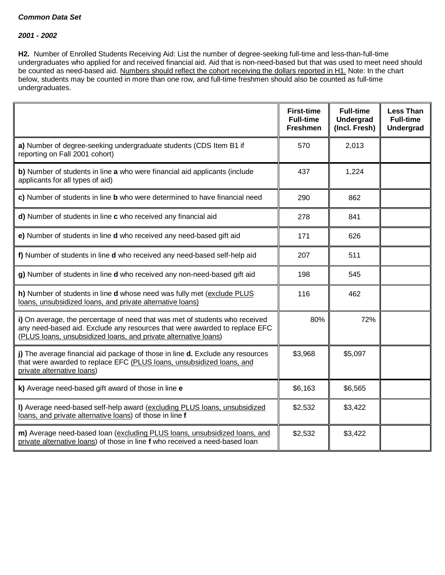#### *2001 - 2002*

**H2.** Number of Enrolled Students Receiving Aid: List the number of degree-seeking full-time and less-than-full-time undergraduates who applied for and received financial aid. Aid that is non-need-based but that was used to meet need should be counted as need-based aid. Numbers should reflect the cohort receiving the dollars reported in H1. Note: In the chart below, students may be counted in more than one row, and full-time freshmen should also be counted as full-time undergraduates.

|                                                                                                                                                                                                                              | <b>First-time</b><br><b>Full-time</b><br><b>Freshmen</b> | <b>Full-time</b><br><b>Undergrad</b><br>(Incl. Fresh) | <b>Less Than</b><br><b>Full-time</b><br><b>Undergrad</b> |
|------------------------------------------------------------------------------------------------------------------------------------------------------------------------------------------------------------------------------|----------------------------------------------------------|-------------------------------------------------------|----------------------------------------------------------|
| a) Number of degree-seeking undergraduate students (CDS Item B1 if<br>reporting on Fall 2001 cohort)                                                                                                                         | 570                                                      | 2,013                                                 |                                                          |
| b) Number of students in line a who were financial aid applicants (include<br>applicants for all types of aid)                                                                                                               | 437                                                      | 1,224                                                 |                                                          |
| c) Number of students in line <b>b</b> who were determined to have financial need                                                                                                                                            | 290                                                      | 862                                                   |                                                          |
| d) Number of students in line c who received any financial aid                                                                                                                                                               | 278                                                      | 841                                                   |                                                          |
| e) Number of students in line d who received any need-based gift aid                                                                                                                                                         | 171                                                      | 626                                                   |                                                          |
| f) Number of students in line d who received any need-based self-help aid                                                                                                                                                    | 207                                                      | 511                                                   |                                                          |
| g) Number of students in line d who received any non-need-based gift aid                                                                                                                                                     | 198                                                      | 545                                                   |                                                          |
| h) Number of students in line d whose need was fully met (exclude PLUS<br>loans, unsubsidized loans, and private alternative loans)                                                                                          | 116                                                      | 462                                                   |                                                          |
| i) On average, the percentage of need that was met of students who received<br>any need-based aid. Exclude any resources that were awarded to replace EFC<br>(PLUS loans, unsubsidized loans, and private alternative loans) | 80%                                                      | 72%                                                   |                                                          |
| j) The average financial aid package of those in line d. Exclude any resources<br>that were awarded to replace EFC (PLUS loans, unsubsidized loans, and<br>private alternative loans)                                        | \$3,968                                                  | \$5,097                                               |                                                          |
| k) Average need-based gift award of those in line e                                                                                                                                                                          | \$6,163                                                  | \$6,565                                               |                                                          |
| I) Average need-based self-help award (excluding PLUS loans, unsubsidized<br>loans, and private alternative loans) of those in line f                                                                                        | \$2,532                                                  | \$3,422                                               |                                                          |
| m) Average need-based loan (excluding PLUS loans, unsubsidized loans, and<br>private alternative loans) of those in line f who received a need-based loan                                                                    | \$2,532                                                  | \$3,422                                               |                                                          |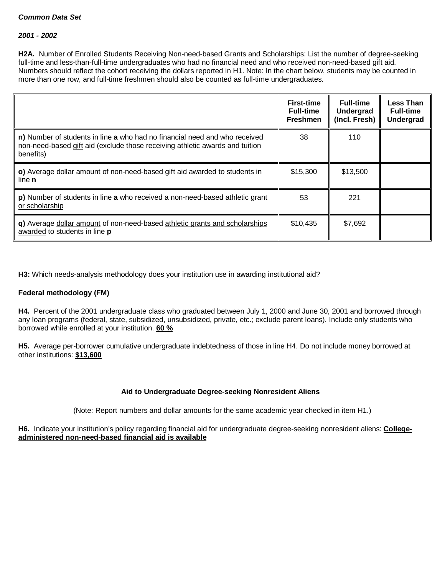#### *2001 - 2002*

**H2A.** Number of Enrolled Students Receiving Non-need-based Grants and Scholarships: List the number of degree-seeking full-time and less-than-full-time undergraduates who had no financial need and who received non-need-based gift aid. Numbers should reflect the cohort receiving the dollars reported in H1. Note: In the chart below, students may be counted in more than one row, and full-time freshmen should also be counted as full-time undergraduates.

|                                                                                                                                                                         | <b>First-time</b><br><b>Full-time</b><br><b>Freshmen</b> | <b>Full-time</b><br>Undergrad<br>(Incl. Fresh) | <b>Less Than</b><br><b>Full-time</b><br><b>Undergrad</b> |
|-------------------------------------------------------------------------------------------------------------------------------------------------------------------------|----------------------------------------------------------|------------------------------------------------|----------------------------------------------------------|
| n) Number of students in line a who had no financial need and who received<br>non-need-based gift aid (exclude those receiving athletic awards and tuition<br>benefits) | 38                                                       | 110                                            |                                                          |
| o) Average dollar amount of non-need-based gift aid awarded to students in<br>line <b>n</b>                                                                             | \$15,300                                                 | \$13,500                                       |                                                          |
| p) Number of students in line a who received a non-need-based athletic grant<br>or scholarship                                                                          | 53                                                       | 221                                            |                                                          |
| q) Average dollar amount of non-need-based athletic grants and scholarships<br>awarded to students in line p                                                            | \$10,435                                                 | \$7,692                                        |                                                          |

**H3:** Which needs-analysis methodology does your institution use in awarding institutional aid?

#### **Federal methodology (FM)**

**H4.** Percent of the 2001 undergraduate class who graduated between July 1, 2000 and June 30, 2001 and borrowed through any loan programs (federal, state, subsidized, unsubsidized, private, etc.; exclude parent loans). Include only students who borrowed while enrolled at your institution. **60 %**

**H5.** Average per-borrower cumulative undergraduate indebtedness of those in line H4. Do not include money borrowed at other institutions: **\$13,600**

#### **Aid to Undergraduate Degree-seeking Nonresident Aliens**

(Note: Report numbers and dollar amounts for the same academic year checked in item H1.)

**H6.** Indicate your institution's policy regarding financial aid for undergraduate degree-seeking nonresident aliens: **Collegeadministered non-need-based financial aid is available**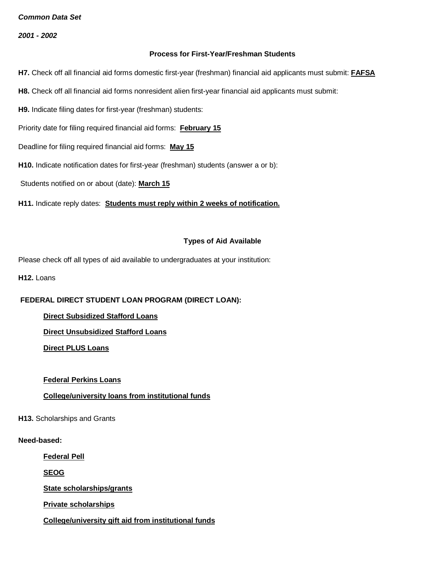*2001 - 2002*

#### **Process for First-Year/Freshman Students**

**H7.** Check off all financial aid forms domestic first-year (freshman) financial aid applicants must submit: **FAFSA**

- **H8.** Check off all financial aid forms nonresident alien first-year financial aid applicants must submit:
- **H9.** Indicate filing dates for first-year (freshman) students:
- Priority date for filing required financial aid forms: **February 15**
- Deadline for filing required financial aid forms: **May 15**
- **H10.** Indicate notification dates for first-year (freshman) students (answer a or b):

Students notified on or about (date): **March 15**

**H11.** Indicate reply dates: **Students must reply within 2 weeks of notification.**

#### **Types of Aid Available**

Please check off all types of aid available to undergraduates at your institution:

**H12.** Loans

## **FEDERAL DIRECT STUDENT LOAN PROGRAM (DIRECT LOAN):**

- **Direct Subsidized Stafford Loans**
- **Direct Unsubsidized Stafford Loans**

**Direct PLUS Loans**

## **Federal Perkins Loans**

## **College/university loans from institutional funds**

#### **H13.** Scholarships and Grants

#### **Need-based:**

**Federal Pell**

**SEOG**

**State scholarships/grants**

**Private scholarships**

**College/university gift aid from institutional funds**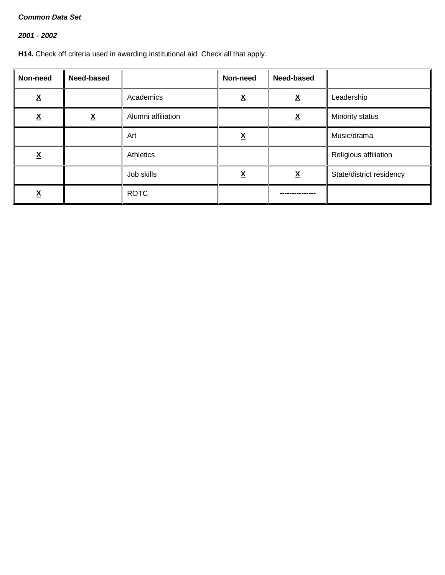# *2001 - 2002*

**H14.** Check off criteria used in awarding institutional aid. Check all that apply.

| Non-need      | Need-based               |                    | Non-need | Need-based               |                          |
|---------------|--------------------------|--------------------|----------|--------------------------|--------------------------|
| v<br><u>^</u> |                          | Academics          | v<br>Λ   | $\underline{\mathsf{X}}$ | Leadership               |
| <u>х</u>      | $\underline{\mathsf{X}}$ | Alumni affiliation |          | <u>x</u>                 | Minority status          |
|               |                          | Art                | <u>x</u> |                          | Music/drama              |
| v<br><u>л</u> |                          | Athletics          |          |                          | Religious affiliation    |
|               |                          | Job skills         | Λ        | <u>x</u>                 | State/district residency |
| <u>л</u>      |                          | <b>ROTC</b>        |          |                          |                          |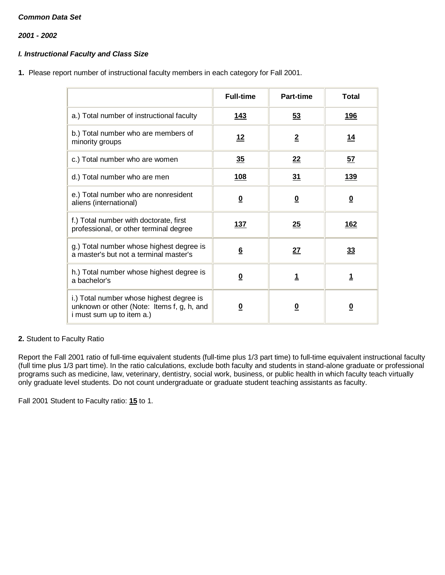*2001 - 2002*

# *I. Instructional Faculty and Class Size*

**1.** Please report number of instructional faculty members in each category for Fall 2001.

|                                                                                                                     | <b>Full-time</b>        | <b>Part-time</b>        | <b>Total</b>            |
|---------------------------------------------------------------------------------------------------------------------|-------------------------|-------------------------|-------------------------|
| a.) Total number of instructional faculty                                                                           | <u>143</u>              | <u>53</u>               | <u>196</u>              |
| b.) Total number who are members of<br>minority groups                                                              | 12                      | $\overline{2}$          | <u> 14</u>              |
| c.) Total number who are women                                                                                      | 35                      | 22                      | <u>57</u>               |
| d.) Total number who are men                                                                                        | <b>108</b>              | 31                      | <b>139</b>              |
| e.) Total number who are nonresident<br>aliens (international)                                                      | $\overline{\mathbf{0}}$ | $\overline{\mathbf{0}}$ | $\overline{\mathbf{0}}$ |
| f.) Total number with doctorate, first<br>professional, or other terminal degree                                    | 137                     | 25                      | <u>162</u>              |
| g.) Total number whose highest degree is<br>a master's but not a terminal master's                                  | $6\overline{6}$         | 27                      | 33                      |
| h.) Total number whose highest degree is<br>a bachelor's                                                            | $\overline{\mathbf{0}}$ | <u>1</u>                | <u>1</u>                |
| i.) Total number whose highest degree is<br>unknown or other (Note: Items f, g, h, and<br>i must sum up to item a.) | 0                       | <u>0</u>                | $\overline{\mathbf{0}}$ |

## **2.** Student to Faculty Ratio

Report the Fall 2001 ratio of full-time equivalent students (full-time plus 1/3 part time) to full-time equivalent instructional faculty (full time plus 1/3 part time). In the ratio calculations, exclude both faculty and students in stand-alone graduate or professional programs such as medicine, law, veterinary, dentistry, social work, business, or public health in which faculty teach virtually only graduate level students. Do not count undergraduate or graduate student teaching assistants as faculty.

Fall 2001 Student to Faculty ratio: **15** to 1.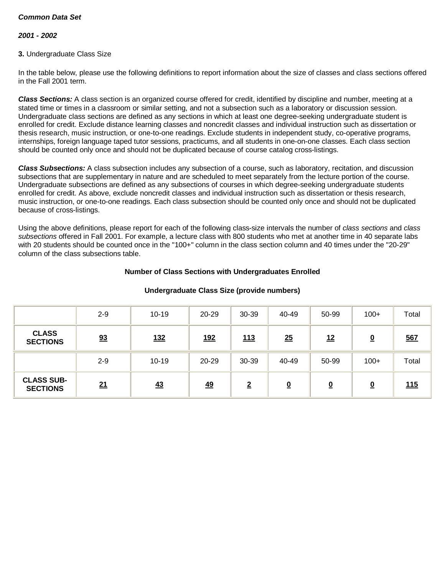## *2001 - 2002*

### **3.** Undergraduate Class Size

In the table below, please use the following definitions to report information about the size of classes and class sections offered in the Fall 2001 term.

*Class Sections:* A class section is an organized course offered for credit, identified by discipline and number, meeting at a stated time or times in a classroom or similar setting, and not a subsection such as a laboratory or discussion session. Undergraduate class sections are defined as any sections in which at least one degree-seeking undergraduate student is enrolled for credit. Exclude distance learning classes and noncredit classes and individual instruction such as dissertation or thesis research, music instruction, or one-to-one readings. Exclude students in independent study, co-operative programs, internships, foreign language taped tutor sessions, practicums, and all students in one-on-one classes. Each class section should be counted only once and should not be duplicated because of course catalog cross-listings.

*Class Subsections:* A class subsection includes any subsection of a course, such as laboratory, recitation, and discussion subsections that are supplementary in nature and are scheduled to meet separately from the lecture portion of the course. Undergraduate subsections are defined as any subsections of courses in which degree-seeking undergraduate students enrolled for credit. As above, exclude noncredit classes and individual instruction such as dissertation or thesis research, music instruction, or one-to-one readings. Each class subsection should be counted only once and should not be duplicated because of cross-listings.

Using the above definitions, please report for each of the following class-size intervals the number of *class sections* and *class subsections* offered in Fall 2001. For example, a lecture class with 800 students who met at another time in 40 separate labs with 20 students should be counted once in the "100+" column in the class section column and 40 times under the "20-29" column of the class subsections table.

#### **Number of Class Sections with Undergraduates Enrolled**

|                                      | $2 - 9$ | $10 - 19$  | 20-29      | 30-39          | 40-49                    | 50-99                   | $100+$                  | Total      |
|--------------------------------------|---------|------------|------------|----------------|--------------------------|-------------------------|-------------------------|------------|
| <b>CLASS</b><br><b>SECTIONS</b>      | 93      | <u>132</u> | <u>192</u> | 113            | 25                       | 12                      | $\overline{\mathbf{0}}$ | <u>567</u> |
|                                      | $2 - 9$ | $10 - 19$  | 20-29      | 30-39          | 40-49                    | 50-99                   | $100+$                  | Total      |
| <b>CLASS SUB-</b><br><b>SECTIONS</b> | 21      | 43         | <u>49</u>  | $\overline{2}$ | $\underline{\mathbf{0}}$ | $\overline{\mathbf{0}}$ | <u>0</u>                | 115        |

#### **Undergraduate Class Size (provide numbers)**